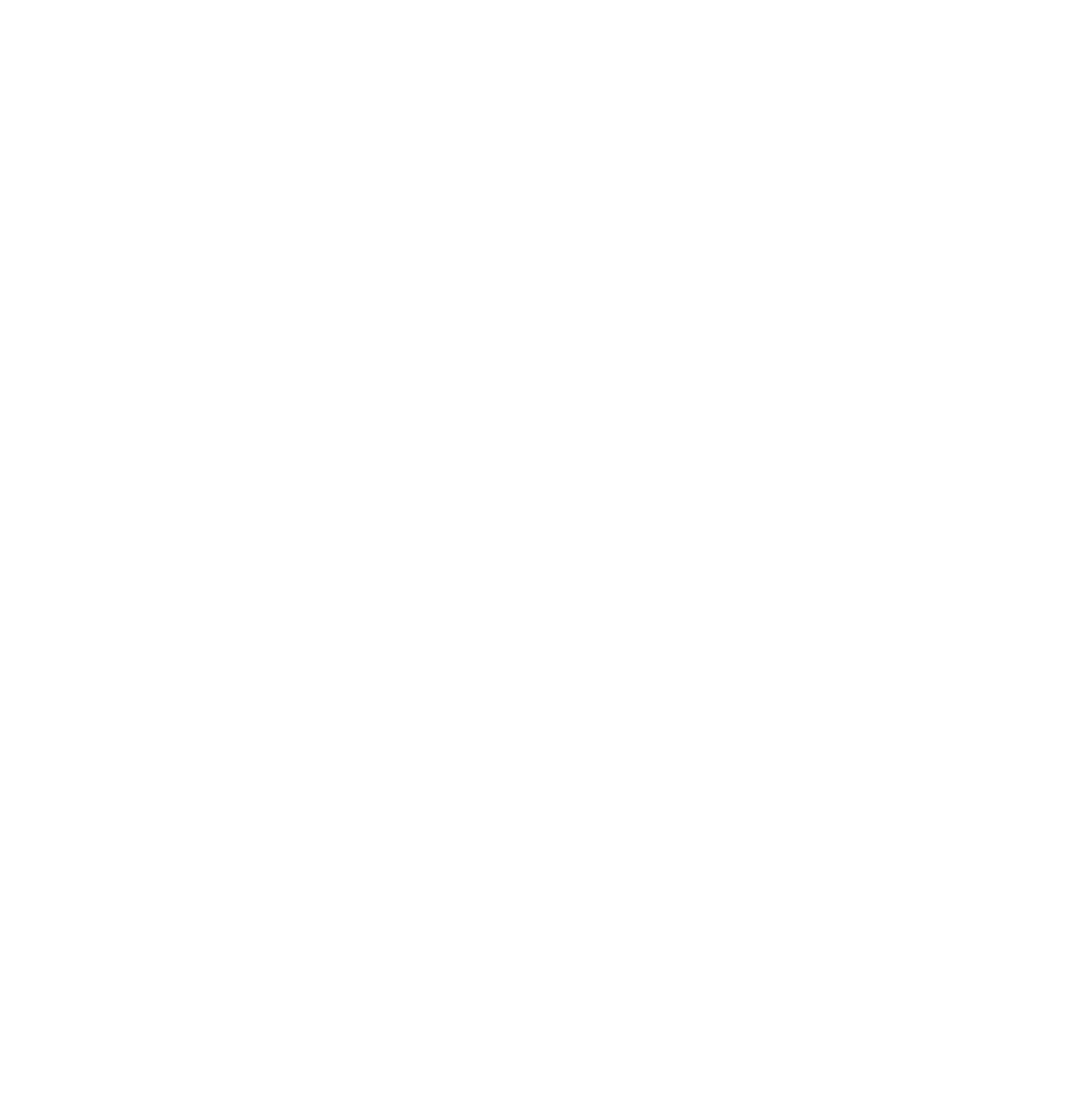81123131GB1127

The<br>Voluntary<br>Initiativ

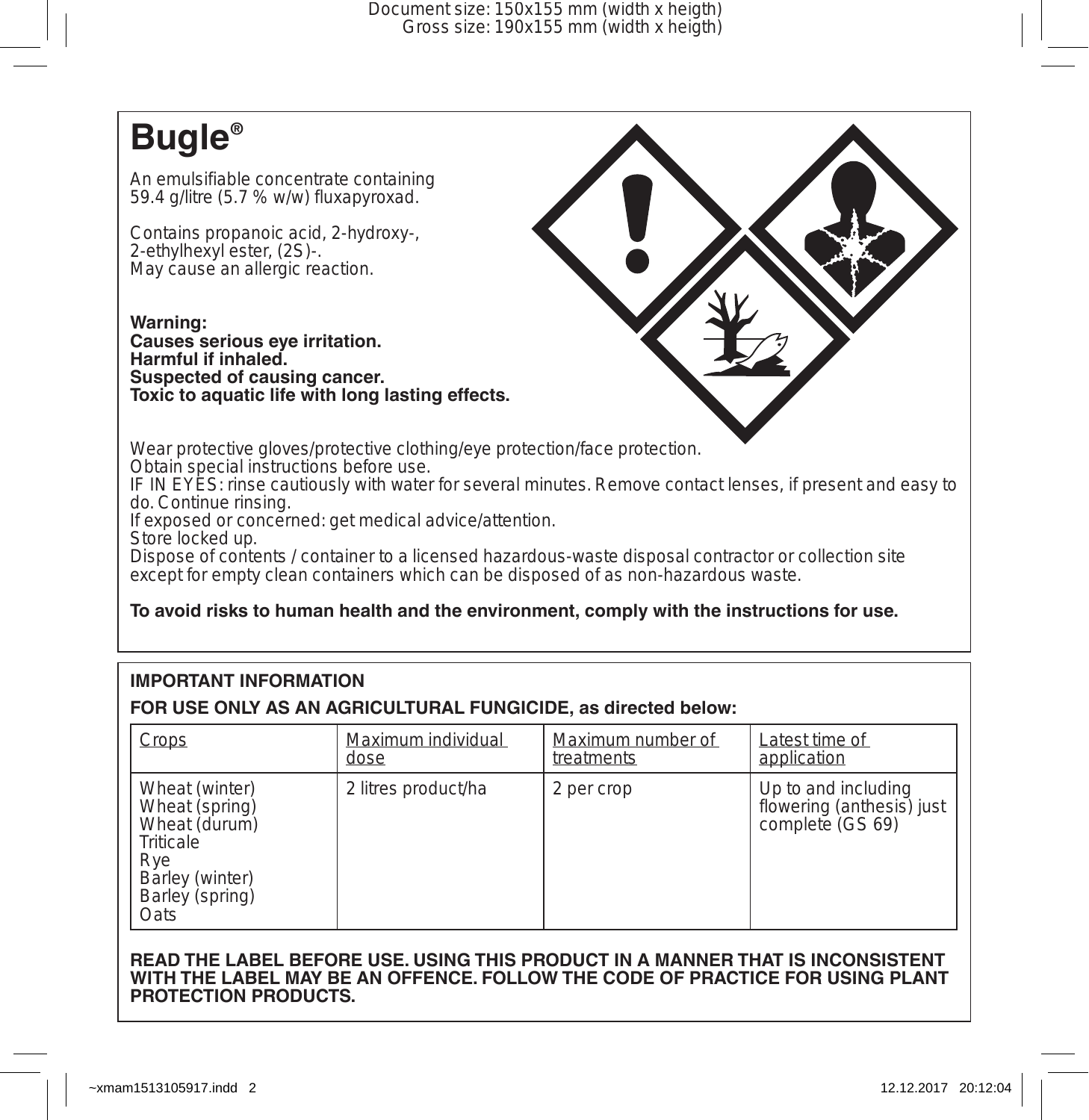# **Bugle®**

An emulsifiable concentrate containing 59.4 g/litre (5.7 % w/w) fluxapyroxad.

Contains propanoic acid, 2-hydroxy-, 2-ethylhexyl ester, (2S)-. May cause an allergic reaction.

**Warning: Causes serious eye irritation. Harmful if inhaled. Suspected of causing cancer. Toxic to aquatic life with long lasting effects.**



Wear protective gloves/protective clothing/eye protection/face protection. Obtain special instructions before use.

IF IN EYES: rinse cautiously with water for several minutes. Remove contact lenses, if present and easy to do. Continue rinsing.

If exposed or concerned: get medical advice/attention.

Store locked up.

Dispose of contents / container to a licensed hazardous-waste disposal contractor or collection site except for empty clean containers which can be disposed of as non-hazardous waste.

# **To avoid risks to human health and the environment, comply with the instructions for use.**

# **IMPORTANT INFORMATION**

## **FOR USE ONLY AS AN AGRICULTURAL FUNGICIDE, as directed below:**

| Crops                                                                                                                      | Maximum individual  | Maximum number of | Latest time of                                                       |
|----------------------------------------------------------------------------------------------------------------------------|---------------------|-------------------|----------------------------------------------------------------------|
|                                                                                                                            | dose                | treatments        | application                                                          |
| Wheat (winter)<br>Wheat (spring)<br>Wheat (durum)<br><b>Triticale</b><br>Rye<br>Barley (winter)<br>Barley (spring)<br>Oats | 2 litres product/ha | 2 per crop        | Up to and including<br>flowering (anthesis) just<br>complete (GS 69) |

### **READ THE LABEL BEFORE USE. USING THIS PRODUCT IN A MANNER THAT IS INCONSISTENT WITH THE LABEL MAY BE AN OFFENCE. FOLLOW THE CODE OF PRACTICE FOR USING PLANT PROTECTION PRODUCTS.**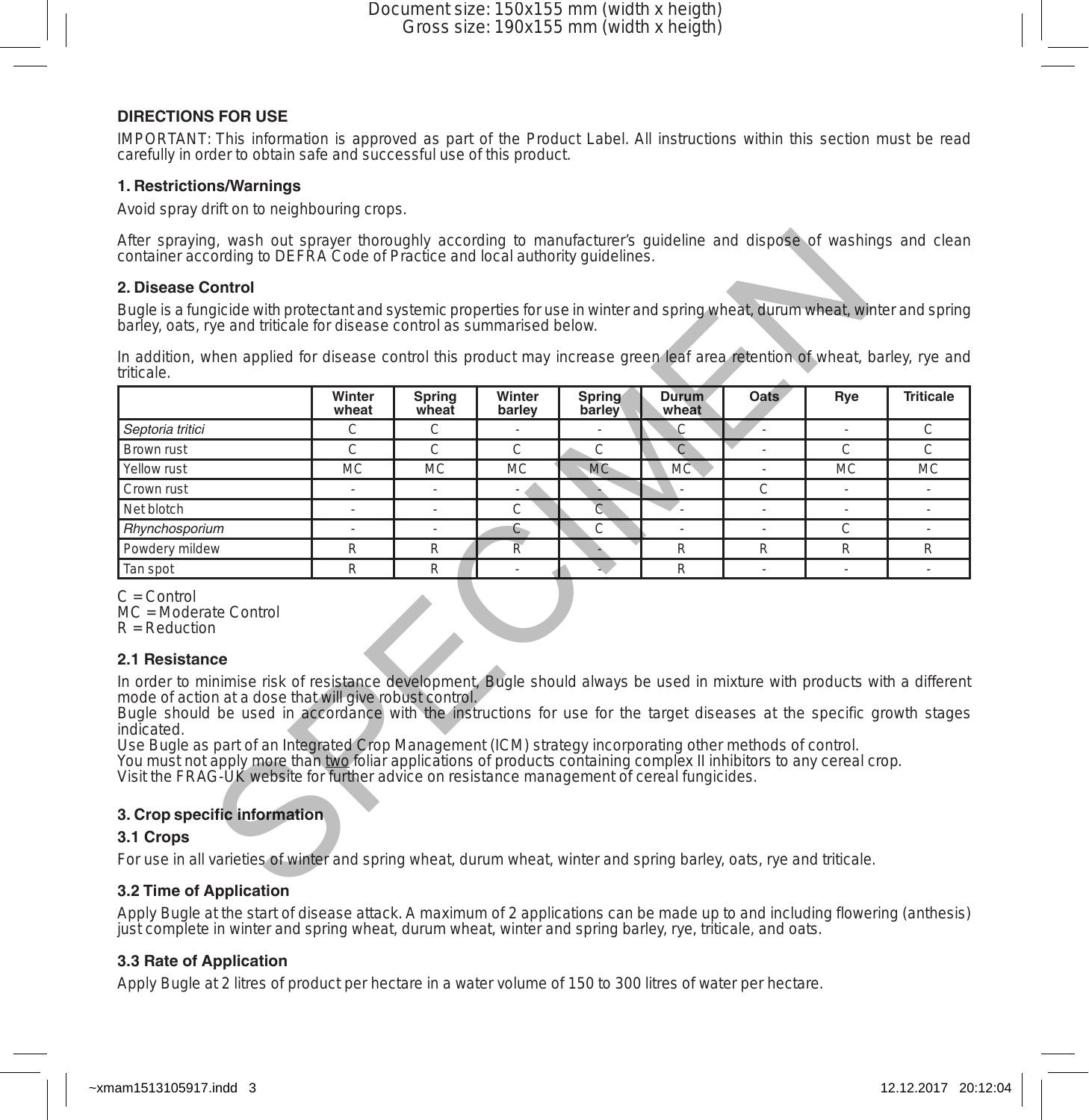Document size: 150x155 mm (width x heigth) Gross size: 190x155 mm (width x heigth)

#### **DIRECTIONS FOR USE**

IMPORTANT: This information is approved as part of the Product Label. All instructions within this section must be read carefully in order to obtain safe and successful use of this product.

#### **1. Restrictions/Warnings**

Avoid spray drift on to neighbouring crops.

#### **2. Disease Control**

| After spraying, wash out sprayer thoroughly according to manufacturer's quideline and dispose of washings and clean<br>container according to DEFRA Code of Practice and local authority quidelines.                                                                                                                                                                                                                                                                                                   |                 |                          |                  |                  |                |             |                |                          |
|--------------------------------------------------------------------------------------------------------------------------------------------------------------------------------------------------------------------------------------------------------------------------------------------------------------------------------------------------------------------------------------------------------------------------------------------------------------------------------------------------------|-----------------|--------------------------|------------------|------------------|----------------|-------------|----------------|--------------------------|
| 2. Disease Control                                                                                                                                                                                                                                                                                                                                                                                                                                                                                     |                 |                          |                  |                  |                |             |                |                          |
| Bugle is a fungicide with protectant and systemic properties for use in winter and spring wheat, durum wheat, winter and spring<br>barley, oats, rye and triticale for disease control as summarised below.<br>In addition, when applied for disease control this product may increase green leaf area retention of wheat, barley, rye and                                                                                                                                                             |                 |                          |                  |                  |                |             |                |                          |
| triticale.                                                                                                                                                                                                                                                                                                                                                                                                                                                                                             |                 |                          |                  |                  |                |             |                |                          |
|                                                                                                                                                                                                                                                                                                                                                                                                                                                                                                        | Winter<br>wheat | Spring<br>wheat          | Winter<br>barley | Spring<br>barley | Durum<br>wheat | <b>Oats</b> | Rye            | <b>Triticale</b>         |
| Septoria tritici                                                                                                                                                                                                                                                                                                                                                                                                                                                                                       | $\mathsf{C}$    | $\mathsf{C}$             |                  |                  | C              | ×           | ×.             | $\mathsf{C}$             |
| Brown rust                                                                                                                                                                                                                                                                                                                                                                                                                                                                                             | $\mathsf{C}$    | C                        | $\mathcal{C}$    | C                | $\overline{C}$ |             | $\mathsf{C}$   | $\overline{C}$           |
| Yellow rust                                                                                                                                                                                                                                                                                                                                                                                                                                                                                            | MC.             | <b>MC</b>                | MC.              | M <sub>C</sub>   | MC.            |             | M <sub>C</sub> | MC.                      |
| Crown rust                                                                                                                                                                                                                                                                                                                                                                                                                                                                                             |                 |                          |                  |                  |                | C           |                | $\overline{\phantom{a}}$ |
| Net blotch                                                                                                                                                                                                                                                                                                                                                                                                                                                                                             | ٠               | $\overline{\phantom{a}}$ | C                | $\overline{C}$   |                | ä,          | $\sim$         | ٠                        |
| Rhynchosporium                                                                                                                                                                                                                                                                                                                                                                                                                                                                                         |                 |                          | C.               | C                |                |             | $\mathsf{C}$   |                          |
| Powdery mildew                                                                                                                                                                                                                                                                                                                                                                                                                                                                                         | $\mathsf{R}$    | R                        | $\overline{R}$   |                  | $\mathsf{R}$   | R           | $\mathsf{R}$   | R                        |
| Tan spot                                                                                                                                                                                                                                                                                                                                                                                                                                                                                               | $\mathsf{R}$    | R                        |                  |                  | $\mathsf{R}$   |             |                |                          |
| $C =$ Control<br>$MC = Modelrate Control$<br>$R = \text{Reduction}$<br>2.1 Resistance<br>In order to minimise risk of resistance development, Bugle should always be used in mixture with products with a different<br>mode of action at a dose that will give robust control.<br>Bugle should be used in accordance with the instructions for use for the target diseases at the specific growth stages<br>indicated.                                                                                 |                 |                          |                  |                  |                |             |                |                          |
| Use Bugle as part of an Integrated Crop Management (ICM) strategy incorporating other methods of control.<br>You must not apply more than two foliar applications of products containing complex II inhibitors to any cereal crop.<br>Visit the FRAG-UK website for further advice on resistance management of cereal fungicides.<br>3. Crop specific information<br>3.1 Crops<br>For use in all varieties of winter and spring wheat, durum wheat, winter and spring barley, oats, rye and triticale. |                 |                          |                  |                  |                |             |                |                          |
| 3.2 Time of Annlication                                                                                                                                                                                                                                                                                                                                                                                                                                                                                |                 |                          |                  |                  |                |             |                |                          |

#### **2.1 Resistance**

#### **4. Crop specific information**

#### **4.1 Crops**

#### **4.2 Time of Application**

Apply Bugle at the start of disease attack. A maximum of 2 applications can be made up to and including flowering (anthesis) just complete in winter and spring wheat, durum wheat, winter and spring barley, rye, triticale, and oats.

#### **4.4 Rate of Application**

Apply Bugle at 2 litres of product per hectare in a water volume of 150 to 300 litres of water per hectare.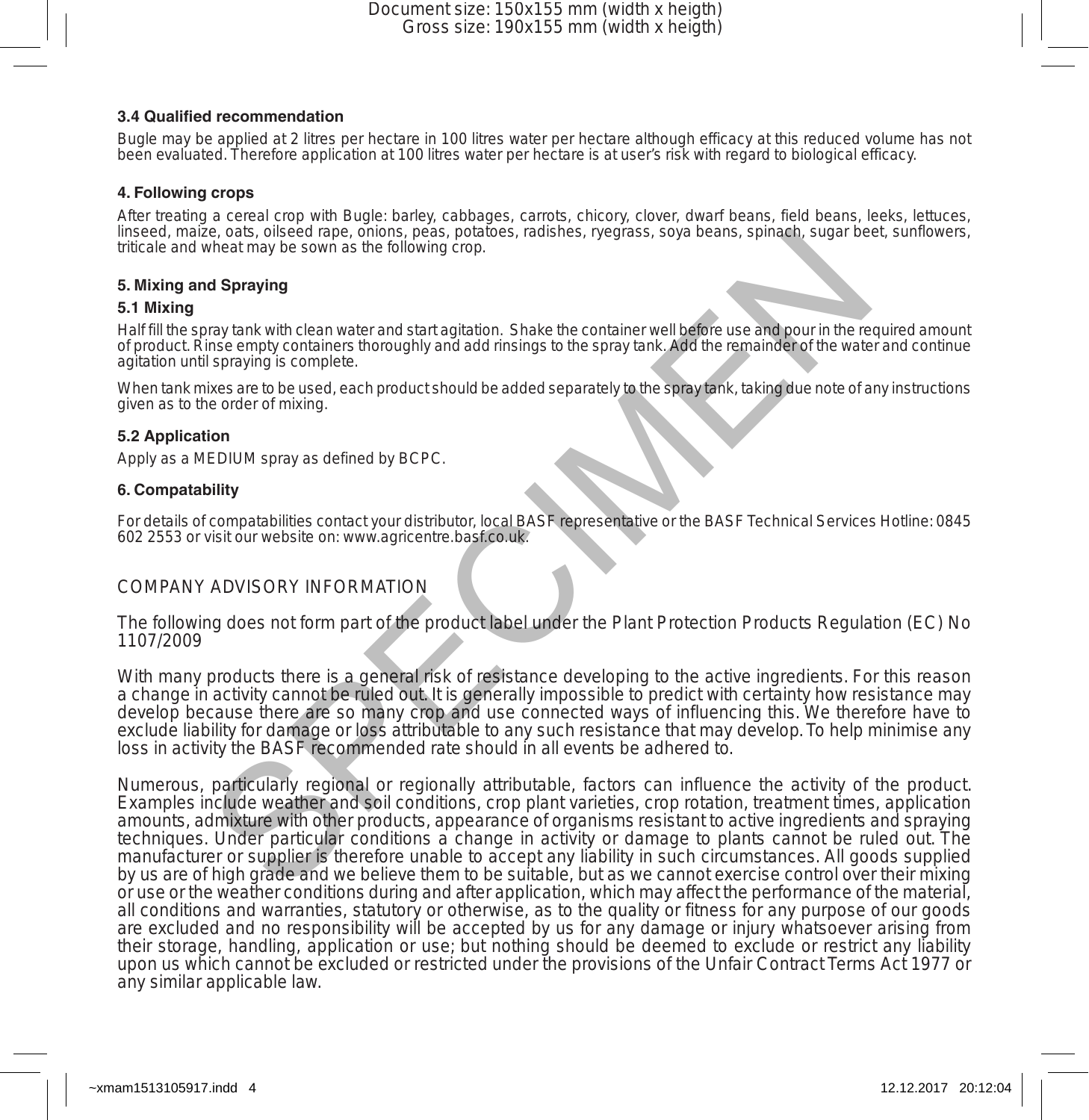Document size: 150x155 mm (width x heigth) Gross size: 190x155 mm (width x heigth)

#### **4.4 Qualified recommendation**

Bugle may be applied at 2 litres per hectare in 100 litres water per hectare although efficacy at this reduced volume has not been evaluated. Therefore application at 100 litres water per hectare is at user's risk with regard to biological efficacy.

#### **4. Following crops**

After treating a cereal crop with Bugle: barley, cabbages, carrots, chicory, clover, dwarf beans, field beans, leeks, lettuces, linseed, maize, oats, oilseed rape, onions, peas, potatoes, radishes, ryegrass, soya beans, spinach, sugar beet, sunflowers, triticale and wheat may be sown as the following crop.

#### **5. Mixing and Spraying**

#### **5.1 Mixing**

Half fill the spray tank with clean water and start agitation. Shake the container well before use and pour in the required amount of product. Rinse empty containers thoroughly and add rinsings to the spray tank.Add the remainder of the water and continue agitation until spraying is complete.

When tank mixes are to be used, each product should be added separately to the spray tank, taking due note of any instructions given as to the order of mixing.

#### **5.2 Application**

Apply as a MEDIUM spray as defined by BCPC.

#### **6. Compatability**

For details of compatabilities contact your distributor, local BASF representative or the BASF Technical Services Hotline: 0845 602 2553 or visit our website on: www.agricentre.basf.co.uk.

#### COMPANY ADVISORY INFORMATION

The following does not form part of the product label under the Plant Protection Products Regulation (EC) No 1107/2009

With many products there is a general risk of resistance developing to the active ingredients. For this reason a change in activity cannot be ruled out. It is generally impossible to predict with certainty how resistance may develop because there are so many crop and use connected ways of influencing this. We therefore have to exclude liability for damage or loss attributable to any such resistance that may develop. To help minimise any loss in activity the BASF recommended rate should in all events be adhered to.

Numerous, particularly regional or regionally attributable, factors can influence the activity of the product. Examples include weather and soil conditions, crop plant varieties, crop rotation, treatment times, application amounts, admixture with other products, appearance of organisms resistant to active ingredients and spraying techniques. Under particular conditions a change in activity or damage to plants cannot be ruled out. The manufacturer or supplier is therefore unable to accept any liability in such circumstances. All goods supplied by us are of high grade and we believe them to be suitable, but as we cannot exercise control over their mixing or use or the weather conditions during and after application, which may affect the performance of the material, all conditions and warranties, statutory or otherwise, as to the quality or fitness for any purpose of our goods are excluded and no responsibility will be accepted by us for any damage or injury whatsoever arising from their storage, handling, application or use; but nothing should be deemed to exclude or restrict any liability upon us which cannot be excluded or restricted under the provisions of the Unfair Contract Terms Act 1977 or any similar applicable law. e, oats, oilesed rape, onlons, peas, poidates, radishes, ryegrass, soya deans, spinaen, sugar be<br>
of a Spraying<br>
of Spraying<br>
at a straight with clean water and start agitation. Shake the container well before use and pour